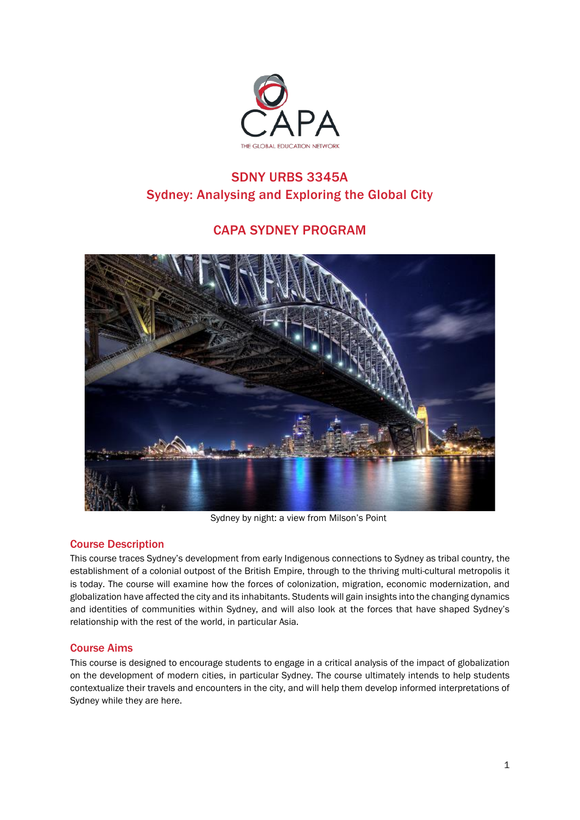

# SDNY URBS 3345A Sydney: Analysing and Exploring the Global City

# CAPA SYDNEY PROGRAM



Sydney by night: a view from Milson's Point

# Course Description

This course traces Sydney's development from early Indigenous connections to Sydney as tribal country, the establishment of a colonial outpost of the British Empire, through to the thriving multi-cultural metropolis it is today. The course will examine how the forces of colonization, migration, economic modernization, and globalization have affected the city and its inhabitants. Students will gain insights into the changing dynamics and identities of communities within Sydney, and will also look at the forces that have shaped Sydney's relationship with the rest of the world, in particular Asia.

# Course Aims

This course is designed to encourage students to engage in a critical analysis of the impact of globalization on the development of modern cities, in particular Sydney. The course ultimately intends to help students contextualize their travels and encounters in the city, and will help them develop informed interpretations of Sydney while they are here.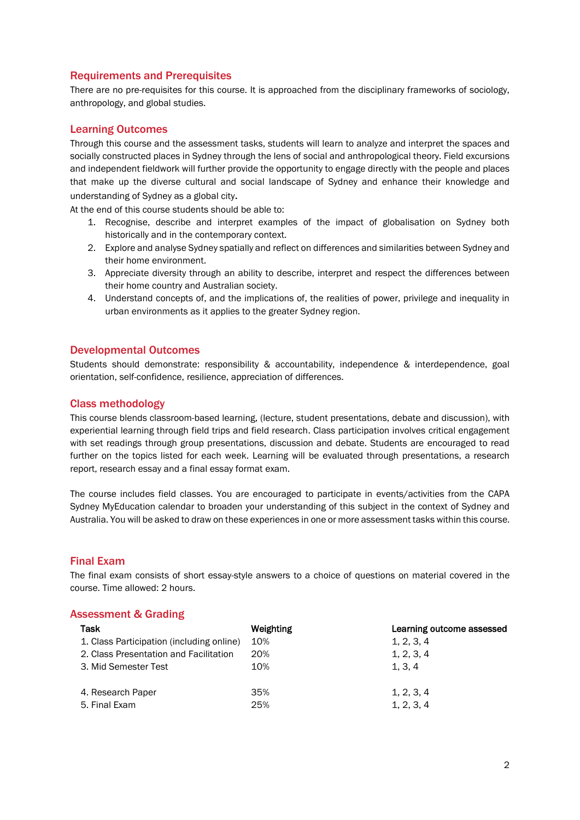## Requirements and Prerequisites

There are no pre-requisites for this course. It is approached from the disciplinary frameworks of sociology, anthropology, and global studies.

## Learning Outcomes

Through this course and the assessment tasks, students will learn to analyze and interpret the spaces and socially constructed places in Sydney through the lens of social and anthropological theory. Field excursions and independent fieldwork will further provide the opportunity to engage directly with the people and places that make up the diverse cultural and social landscape of Sydney and enhance their knowledge and understanding of Sydney as a global city.

At the end of this course students should be able to:

- 1. Recognise, describe and interpret examples of the impact of globalisation on Sydney both historically and in the contemporary context.
- 2. Explore and analyse Sydney spatially and reflect on differences and similarities between Sydney and their home environment.
- 3. Appreciate diversity through an ability to describe, interpret and respect the differences between their home country and Australian society.
- 4. Understand concepts of, and the implications of, the realities of power, privilege and inequality in urban environments as it applies to the greater Sydney region.

## Developmental Outcomes

Students should demonstrate: responsibility & accountability, independence & interdependence, goal orientation, self-confidence, resilience, appreciation of differences.

## Class methodology

This course blends classroom-based learning, (lecture, student presentations, debate and discussion), with experiential learning through field trips and field research. Class participation involves critical engagement with set readings through group presentations, discussion and debate. Students are encouraged to read further on the topics listed for each week. Learning will be evaluated through presentations, a research report, research essay and a final essay format exam.

The course includes field classes. You are encouraged to participate in events/activities from the CAPA Sydney MyEducation calendar to broaden your understanding of this subject in the context of Sydney and Australia. You will be asked to draw on these experiences in one or more assessment tasks within this course.

#### Final Exam

The final exam consists of short essay-style answers to a choice of questions on material covered in the course. Time allowed: 2 hours.

#### Assessment & Grading

| Task                                      | Weighting | Learning outcome assessed |
|-------------------------------------------|-----------|---------------------------|
| 1. Class Participation (including online) | 10%       | 1, 2, 3, 4                |
| 2. Class Presentation and Facilitation    | 20%       | 1, 2, 3, 4                |
| 3. Mid Semester Test                      | 10%       | 1, 3, 4                   |
| 4. Research Paper                         | 35%       | 1, 2, 3, 4                |
| 5. Final Exam                             | 25%       | 1, 2, 3, 4                |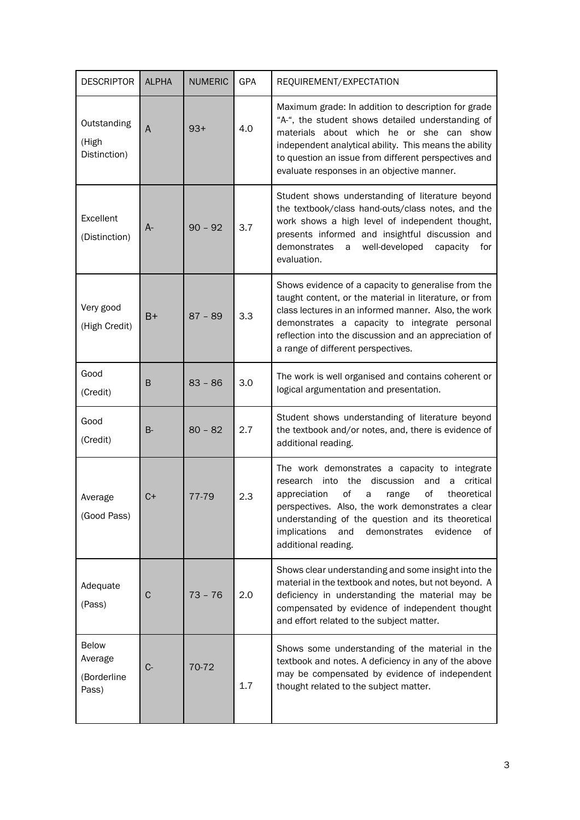| <b>DESCRIPTOR</b>                               | <b>ALPHA</b> | <b>NUMERIC</b> | GPA | REQUIREMENT/EXPECTATION                                                                                                                                                                                                                                                                                                                                     |
|-------------------------------------------------|--------------|----------------|-----|-------------------------------------------------------------------------------------------------------------------------------------------------------------------------------------------------------------------------------------------------------------------------------------------------------------------------------------------------------------|
| Outstanding<br>(High<br>Distinction)            | A            | $93+$          | 4.0 | Maximum grade: In addition to description for grade<br>"A-", the student shows detailed understanding of<br>materials about which he or she can show<br>independent analytical ability. This means the ability<br>to question an issue from different perspectives and<br>evaluate responses in an objective manner.                                        |
| Excellent<br>(Distinction)                      | A-           | $90 - 92$      | 3.7 | Student shows understanding of literature beyond<br>the textbook/class hand-outs/class notes, and the<br>work shows a high level of independent thought,<br>presents informed and insightful discussion and<br>demonstrates<br>well-developed<br>a<br>capacity<br>for<br>evaluation.                                                                        |
| Very good<br>(High Credit)                      | B+           | $87 - 89$      | 3.3 | Shows evidence of a capacity to generalise from the<br>taught content, or the material in literature, or from<br>class lectures in an informed manner. Also, the work<br>demonstrates a capacity to integrate personal<br>reflection into the discussion and an appreciation of<br>a range of different perspectives.                                       |
| Good<br>(Credit)                                | B            | $83 - 86$      | 3.0 | The work is well organised and contains coherent or<br>logical argumentation and presentation.                                                                                                                                                                                                                                                              |
| Good<br>(Credit)                                | <b>B-</b>    | $80 - 82$      | 2.7 | Student shows understanding of literature beyond<br>the textbook and/or notes, and, there is evidence of<br>additional reading.                                                                                                                                                                                                                             |
| Average<br>(Good Pass)                          | C+           | 77-79          | 2.3 | The work demonstrates a capacity to integrate<br>research<br>into the discussion<br>and<br>critical<br>a<br>οf<br>of<br>appreciation<br>range<br>theoretical<br>a<br>perspectives. Also, the work demonstrates a clear<br>understanding of the question and its theoretical<br>implications<br>and<br>demonstrates<br>evidence<br>of<br>additional reading. |
| Adequate<br>(Pass)                              | C            | $73 - 76$      | 2.0 | Shows clear understanding and some insight into the<br>material in the textbook and notes, but not beyond. A<br>deficiency in understanding the material may be<br>compensated by evidence of independent thought<br>and effort related to the subject matter.                                                                                              |
| <b>Below</b><br>Average<br>(Borderline<br>Pass) | $C -$        | 70-72          | 1.7 | Shows some understanding of the material in the<br>textbook and notes. A deficiency in any of the above<br>may be compensated by evidence of independent<br>thought related to the subject matter.                                                                                                                                                          |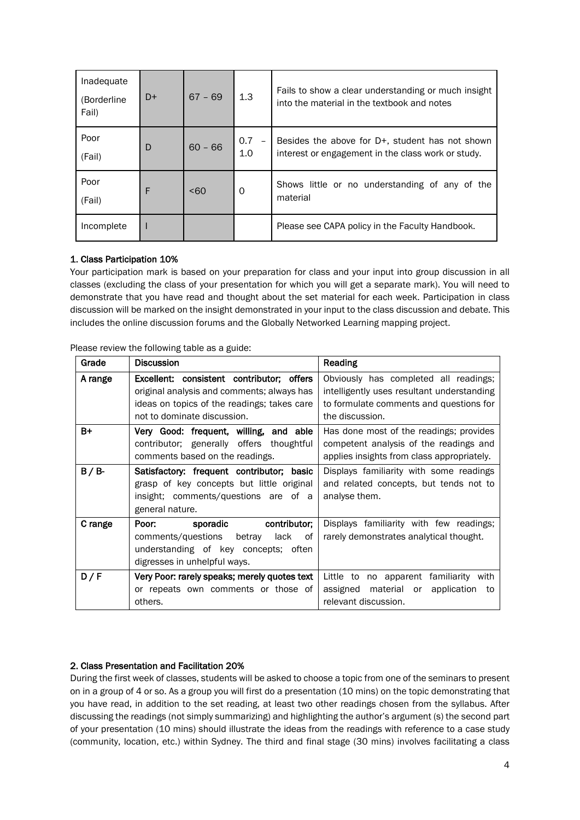| Inadequate<br>(Borderline<br>Fail) | $D+$ | $67 - 69$ | 1.3                                    | Fails to show a clear understanding or much insight<br>into the material in the textbook and notes       |
|------------------------------------|------|-----------|----------------------------------------|----------------------------------------------------------------------------------------------------------|
| Poor<br>(Fail)                     | D    | $60 - 66$ | 0.7<br>$\overline{\phantom{a}}$<br>1.0 | Besides the above for $D+$ , student has not shown<br>interest or engagement in the class work or study. |
| Poor<br>(Fail)                     | F    | <60       | 0                                      | Shows little or no understanding of any of the<br>material                                               |
| Incomplete                         |      |           |                                        | Please see CAPA policy in the Faculty Handbook.                                                          |

## 1. Class Participation 10%

Your participation mark is based on your preparation for class and your input into group discussion in all classes (excluding the class of your presentation for which you will get a separate mark). You will need to demonstrate that you have read and thought about the set material for each week. Participation in class discussion will be marked on the insight demonstrated in your input to the class discussion and debate. This includes the online discussion forums and the Globally Networked Learning mapping project.

| Grade   | <b>Discussion</b>                                                                                                                                                                                                                                       | Reading                                                                                                                                           |  |
|---------|---------------------------------------------------------------------------------------------------------------------------------------------------------------------------------------------------------------------------------------------------------|---------------------------------------------------------------------------------------------------------------------------------------------------|--|
| A range | Excellent: consistent contributor; offers<br>original analysis and comments; always has<br>ideas on topics of the readings; takes care<br>not to dominate discussion.                                                                                   | Obviously has completed all readings;<br>intelligently uses resultant understanding<br>to formulate comments and questions for<br>the discussion. |  |
| $B+$    | Very Good: frequent, willing, and able<br>contributor; generally offers thoughtful<br>comments based on the readings.                                                                                                                                   | Has done most of the readings; provides<br>competent analysis of the readings and<br>applies insights from class appropriately.                   |  |
| $B/B$ - | Displays familiarity with some readings<br>Satisfactory: frequent contributor; basic<br>grasp of key concepts but little original<br>and related concepts, but tends not to<br>insight; comments/questions are of a<br>analyse them.<br>general nature. |                                                                                                                                                   |  |
| C range | Poor: sporadic contributor;<br>comments/questions<br>betray<br>lack<br>0f<br>understanding of key concepts; often<br>digresses in unhelpful ways.                                                                                                       | Displays familiarity with few readings;<br>rarely demonstrates analytical thought.                                                                |  |
| D/F     | Very Poor: rarely speaks; merely quotes text<br>or repeats own comments or those of<br>others.                                                                                                                                                          | Little to no apparent familiarity with<br>assigned material or<br>application<br>to<br>relevant discussion.                                       |  |

Please review the following table as a guide:

#### 2. Class Presentation and Facilitation 20%

During the first week of classes, students will be asked to choose a topic from one of the seminars to present on in a group of 4 or so. As a group you will first do a presentation (10 mins) on the topic demonstrating that you have read, in addition to the set reading, at least two other readings chosen from the syllabus. After discussing the readings (not simply summarizing) and highlighting the author's argument (s) the second part of your presentation (10 mins) should illustrate the ideas from the readings with reference to a case study (community, location, etc.) within Sydney. The third and final stage (30 mins) involves facilitating a class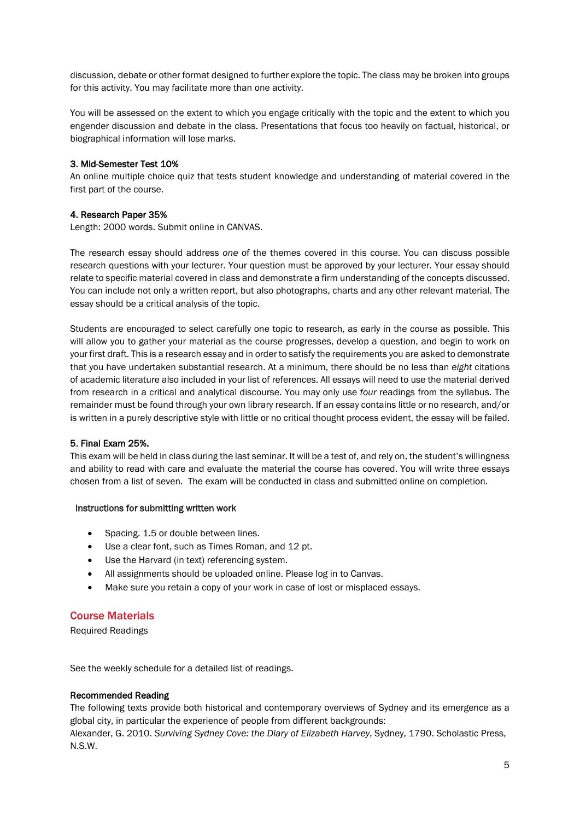discussion, debate or other format designed to further explore the topic. The class may be broken into groups for this activity. You may facilitate more than one activity.

You will be assessed on the extent to which you engage critically with the topic and the extent to which you engender discussion and debate in the class. Presentations that focus too heavily on factual, historical, or biographical information will lose marks.

#### 3. Mid-Semester Test 10%

An online multiple choice quiz that tests student knowledge and understanding of material covered in the first part of the course.

#### 4. Research Paper 35%

Length: 2000 words. Submit online in CANVAS.

The research essay should address *one* of the themes covered in this course. You can discuss possible research questions with your lecturer. Your question must be approved by your lecturer. Your essay should relate to specific material covered in class and demonstrate a firm understanding of the concepts discussed. You can include not only a written report, but also photographs, charts and any other relevant material. The essay should be a critical analysis of the topic.

Students are encouraged to select carefully one topic to research, as early in the course as possible. This will allow you to gather your material as the course progresses, develop a question, and begin to work on your first draft. This is a research essay and in order to satisfy the requirements you are asked to demonstrate that you have undertaken substantial research. At a minimum, there should be no less than *eight* citations of academic literature also included in your list of references. All essays will need to use the material derived from research in a critical and analytical discourse. You may only use *four* readings from the syllabus. The remainder must be found through your own library research. If an essay contains little or no research, and/or is written in a purely descriptive style with little or no critical thought process evident, the essay will be failed.

#### 5. Final Exam 25%.

This exam will be held in class during the last seminar. It will be a test of, and rely on, the student's willingness and ability to read with care and evaluate the material the course has covered. You will write three essays chosen from a list of seven. The exam will be conducted in class and submitted online on completion.

#### Instructions for submitting written work

- Spacing. 1.5 or double between lines.
- Use a clear font, such as Times Roman, and 12 pt.
- Use the Harvard (in text) referencing system.
- All assignments should be uploaded online. Please log in to Canvas.
- Make sure you retain a copy of your work in case of lost or misplaced essays.

#### Course Materials

Required Readings

See the weekly schedule for a detailed list of readings.

#### Recommended Reading

The following texts provide both historical and contemporary overviews of Sydney and its emergence as a global city, in particular the experience of people from different backgrounds:

Alexander, G. 2010. *Surviving Sydney Cove: the Diary of Elizabeth Harvey*, Sydney, 1790. Scholastic Press, N.S.W.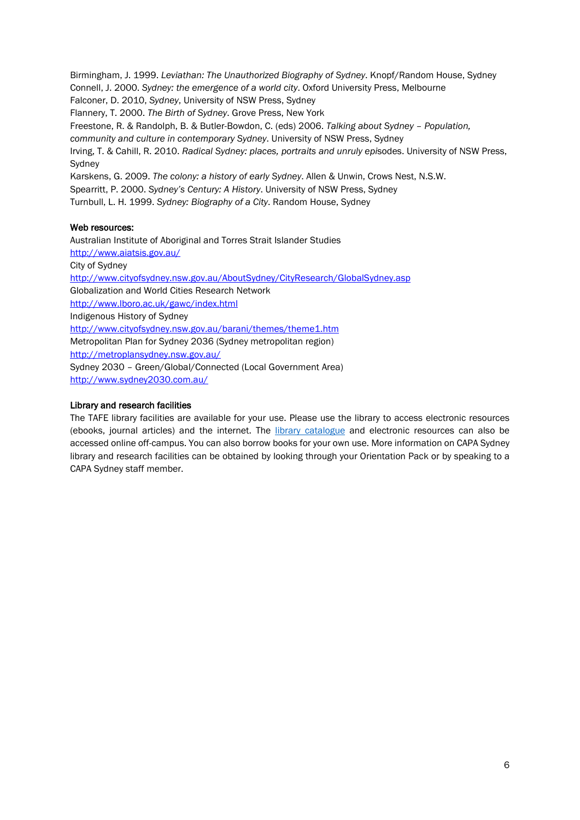Birmingham, J. 1999. *Leviathan: The Unauthorized Biography of Sydney*. Knopf/Random House, Sydney Connell, J. 2000. *Sydney: the emergence of a world city*. Oxford University Press, Melbourne Falconer, D. 2010, *Sydney*, University of NSW Press, Sydney Flannery, T. 2000. *The Birth of Sydney*. Grove Press, New York Freestone, R. & Randolph, B. & Butler-Bowdon, C. (eds) 2006. *Talking about Sydney – Population, community and culture in contemporary Sydney*. University of NSW Press, Sydney Irving, T. & Cahill, R. 2010. *Radical Sydney: places, portraits and unruly epi*sodes. University of NSW Press, Sydney Karskens, G. 2009. *The colony: a history of early Sydney*. Allen & Unwin, Crows Nest, N.S.W. Spearritt, P. 2000. *Sydney's Century: A History*. University of NSW Press, Sydney Turnbull, L. H. 1999. *Sydney: Biography of a City*. Random House, Sydney

#### Web resources:

Australian Institute of Aboriginal and Torres Strait Islander Studies <http://www.aiatsis.gov.au/> City of Sydney <http://www.cityofsydney.nsw.gov.au/AboutSydney/CityResearch/GlobalSydney.asp> Globalization and World Cities Research Network http://www.lboro.ac.uk/gawc/index.html Indigenous History of Sydney http://www.cityofsydney.nsw.gov.au/barani/themes/theme1.htm Metropolitan Plan for Sydney 2036 (Sydney metropolitan region) <http://metroplansydney.nsw.gov.au/> Sydney 2030 – Green/Global/Connected (Local Government Area) <http://www.sydney2030.com.au/>

#### Library and research facilities

The TAFE library facilities are available for your use. Please use the library to access electronic resources (ebooks, journal articles) and the internet. The [library catalogue](http://tafecat.tafensw.edu.au/uhtbin/cgisirsi/?ps=dEJRPIPn34/ULT/263440041/60/502/X) and electronic resources can also be accessed online off-campus. You can also borrow books for your own use. More information on CAPA Sydney library and research facilities can be obtained by looking through your Orientation Pack or by speaking to a CAPA Sydney staff member.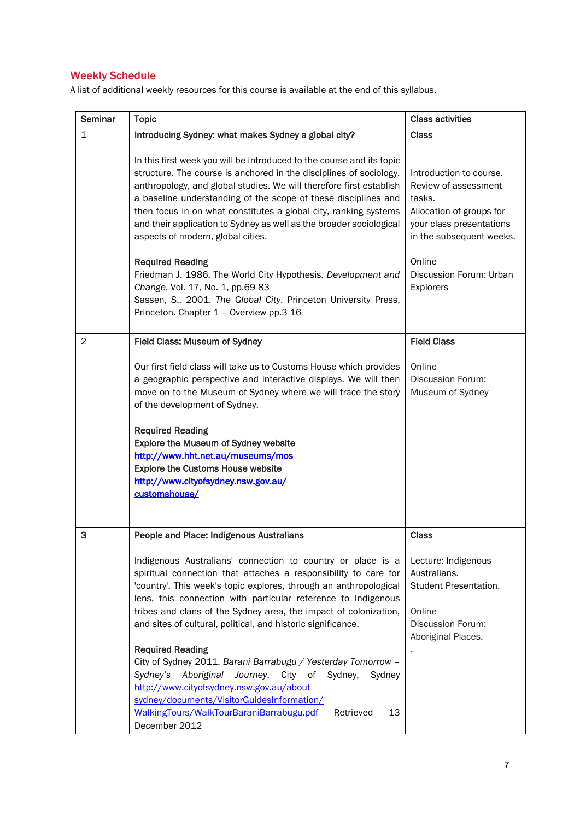# Weekly Schedule

A list of additional weekly resources for this course is available at the end of this syllabus.

| Seminar        | <b>Topic</b>                                                                                                                                                                                                                                                                                                                                                                                                                                                                                                                                                                                                                                                                                                                                                                                       | <b>Class activities</b>                                                                                                                                                                         |
|----------------|----------------------------------------------------------------------------------------------------------------------------------------------------------------------------------------------------------------------------------------------------------------------------------------------------------------------------------------------------------------------------------------------------------------------------------------------------------------------------------------------------------------------------------------------------------------------------------------------------------------------------------------------------------------------------------------------------------------------------------------------------------------------------------------------------|-------------------------------------------------------------------------------------------------------------------------------------------------------------------------------------------------|
| $\mathbf{1}$   | Introducing Sydney: what makes Sydney a global city?                                                                                                                                                                                                                                                                                                                                                                                                                                                                                                                                                                                                                                                                                                                                               | <b>Class</b>                                                                                                                                                                                    |
|                | In this first week you will be introduced to the course and its topic<br>structure. The course is anchored in the disciplines of sociology,<br>anthropology, and global studies. We will therefore first establish<br>a baseline understanding of the scope of these disciplines and<br>then focus in on what constitutes a global city, ranking systems<br>and their application to Sydney as well as the broader sociological<br>aspects of modern, global cities.<br><b>Required Reading</b><br>Friedman J. 1986. The World City Hypothesis. Development and<br>Change, Vol. 17, No. 1, pp.69-83<br>Sassen, S., 2001. The Global City. Princeton University Press,<br>Princeton. Chapter 1 - Overview pp.3-16                                                                                   | Introduction to course.<br>Review of assessment<br>tasks.<br>Allocation of groups for<br>your class presentations<br>in the subsequent weeks.<br>Online<br>Discussion Forum: Urban<br>Explorers |
| $\overline{2}$ | Field Class: Museum of Sydney                                                                                                                                                                                                                                                                                                                                                                                                                                                                                                                                                                                                                                                                                                                                                                      | <b>Field Class</b>                                                                                                                                                                              |
|                | Our first field class will take us to Customs House which provides<br>a geographic perspective and interactive displays. We will then<br>move on to the Museum of Sydney where we will trace the story<br>of the development of Sydney.<br><b>Required Reading</b><br>Explore the Museum of Sydney website<br>http://www.hht.net.au/museums/mos<br><b>Explore the Customs House website</b><br>http://www.cityofsydney.nsw.gov.au/<br>customshouse/                                                                                                                                                                                                                                                                                                                                                | Online<br><b>Discussion Forum:</b><br>Museum of Sydney                                                                                                                                          |
| 3              | People and Place: Indigenous Australians<br>Indigenous Australians' connection to country or place is a<br>spiritual connection that attaches a responsibility to care for<br>'country'. This week's topic explores, through an anthropological<br>lens, this connection with particular reference to Indigenous<br>tribes and clans of the Sydney area, the impact of colonization,<br>and sites of cultural, political, and historic significance.<br><b>Required Reading</b><br>City of Sydney 2011. Barani Barrabugu / Yesterday Tomorrow -<br>Sydney's<br>Aboriginal<br>Journey.<br>City<br>of<br>Sydney,<br>Sydney<br>http://www.cityofsydney.nsw.gov.au/about<br>sydney/documents/VisitorGuidesInformation/<br>WalkingTours/WalkTourBaraniBarrabugu.pdf<br>Retrieved<br>13<br>December 2012 | <b>Class</b><br>Lecture: Indigenous<br>Australians.<br>Student Presentation.<br>Online<br>Discussion Forum:<br>Aboriginal Places.                                                               |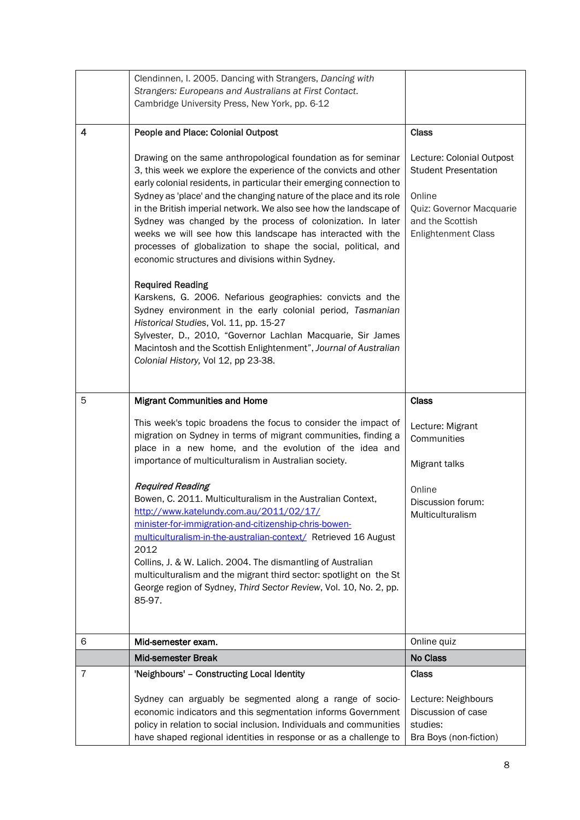|   | Clendinnen, I. 2005. Dancing with Strangers, Dancing with<br>Strangers: Europeans and Australians at First Contact.<br>Cambridge University Press, New York, pp. 6-12                                                                                                                                                                                                                                                                                                                                                                                                                                      |                                                                                                                                                  |
|---|------------------------------------------------------------------------------------------------------------------------------------------------------------------------------------------------------------------------------------------------------------------------------------------------------------------------------------------------------------------------------------------------------------------------------------------------------------------------------------------------------------------------------------------------------------------------------------------------------------|--------------------------------------------------------------------------------------------------------------------------------------------------|
| 4 | People and Place: Colonial Outpost                                                                                                                                                                                                                                                                                                                                                                                                                                                                                                                                                                         | <b>Class</b>                                                                                                                                     |
|   | Drawing on the same anthropological foundation as for seminar<br>3, this week we explore the experience of the convicts and other<br>early colonial residents, in particular their emerging connection to<br>Sydney as 'place' and the changing nature of the place and its role<br>in the British imperial network. We also see how the landscape of<br>Sydney was changed by the process of colonization. In later<br>weeks we will see how this landscape has interacted with the<br>processes of globalization to shape the social, political, and<br>economic structures and divisions within Sydney. | Lecture: Colonial Outpost<br><b>Student Presentation</b><br>Online<br>Quiz: Governor Macquarie<br>and the Scottish<br><b>Enlightenment Class</b> |
|   | <b>Required Reading</b><br>Karskens, G. 2006. Nefarious geographies: convicts and the<br>Sydney environment in the early colonial period, Tasmanian<br>Historical Studies, Vol. 11, pp. 15-27<br>Sylvester, D., 2010, "Governor Lachlan Macquarie, Sir James<br>Macintosh and the Scottish Enlightenment", Journal of Australian<br>Colonial History, Vol 12, pp 23-38.                                                                                                                                                                                                                                    |                                                                                                                                                  |
| 5 | <b>Migrant Communities and Home</b>                                                                                                                                                                                                                                                                                                                                                                                                                                                                                                                                                                        | <b>Class</b>                                                                                                                                     |
|   | This week's topic broadens the focus to consider the impact of<br>migration on Sydney in terms of migrant communities, finding a<br>place in a new home, and the evolution of the idea and<br>importance of multiculturalism in Australian society.                                                                                                                                                                                                                                                                                                                                                        | Lecture: Migrant<br>Communities<br>Migrant talks                                                                                                 |
|   | <b>Required Reading</b><br>Bowen, C. 2011. Multiculturalism in the Australian Context,<br>http://www.katelundy.com.au/2011/02/17/<br>minister-for-immigration-and-citizenship-chris-bowen-<br>multiculturalism-in-the-australian-context/ Retrieved 16 August<br>2012<br>Collins, J. & W. Lalich. 2004. The dismantling of Australian<br>multiculturalism and the migrant third sector: spotlight on the St<br>George region of Sydney, Third Sector Review, Vol. 10, No. 2, pp.<br>85-97.                                                                                                                 | Online<br>Discussion forum:<br>Multiculturalism                                                                                                  |
| 6 | Mid-semester exam.                                                                                                                                                                                                                                                                                                                                                                                                                                                                                                                                                                                         | Online quiz                                                                                                                                      |
|   | <b>Mid-semester Break</b>                                                                                                                                                                                                                                                                                                                                                                                                                                                                                                                                                                                  | <b>No Class</b>                                                                                                                                  |
| 7 | 'Neighbours' - Constructing Local Identity                                                                                                                                                                                                                                                                                                                                                                                                                                                                                                                                                                 | <b>Class</b>                                                                                                                                     |
|   | Sydney can arguably be segmented along a range of socio-<br>economic indicators and this segmentation informs Government<br>policy in relation to social inclusion. Individuals and communities<br>have shaped regional identities in response or as a challenge to                                                                                                                                                                                                                                                                                                                                        | Lecture: Neighbours<br>Discussion of case<br>studies:<br>Bra Boys (non-fiction)                                                                  |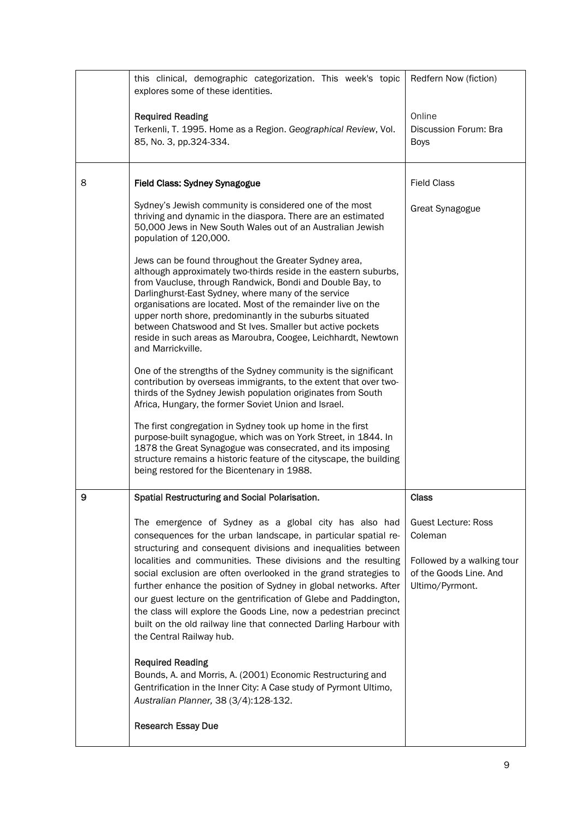|   | this clinical, demographic categorization. This week's topic<br>explores some of these identities.                                                                                                                                                                                                                                                                                                                                                                                                                           | Redfern Now (fiction)                                                   |
|---|------------------------------------------------------------------------------------------------------------------------------------------------------------------------------------------------------------------------------------------------------------------------------------------------------------------------------------------------------------------------------------------------------------------------------------------------------------------------------------------------------------------------------|-------------------------------------------------------------------------|
|   | <b>Required Reading</b><br>Terkenli, T. 1995. Home as a Region. Geographical Review, Vol.<br>85, No. 3, pp.324-334.                                                                                                                                                                                                                                                                                                                                                                                                          | Online<br>Discussion Forum: Bra<br><b>Boys</b>                          |
| 8 | Field Class: Sydney Synagogue                                                                                                                                                                                                                                                                                                                                                                                                                                                                                                | <b>Field Class</b>                                                      |
|   | Sydney's Jewish community is considered one of the most<br>thriving and dynamic in the diaspora. There are an estimated<br>50,000 Jews in New South Wales out of an Australian Jewish<br>population of 120,000.                                                                                                                                                                                                                                                                                                              | <b>Great Synagogue</b>                                                  |
|   | Jews can be found throughout the Greater Sydney area,<br>although approximately two-thirds reside in the eastern suburbs,<br>from Vaucluse, through Randwick, Bondi and Double Bay, to<br>Darlinghurst-East Sydney, where many of the service<br>organisations are located. Most of the remainder live on the<br>upper north shore, predominantly in the suburbs situated<br>between Chatswood and St Ives. Smaller but active pockets<br>reside in such areas as Maroubra, Coogee, Leichhardt, Newtown<br>and Marrickville. |                                                                         |
|   | One of the strengths of the Sydney community is the significant<br>contribution by overseas immigrants, to the extent that over two-<br>thirds of the Sydney Jewish population originates from South<br>Africa, Hungary, the former Soviet Union and Israel.                                                                                                                                                                                                                                                                 |                                                                         |
|   | The first congregation in Sydney took up home in the first<br>purpose-built synagogue, which was on York Street, in 1844. In<br>1878 the Great Synagogue was consecrated, and its imposing<br>structure remains a historic feature of the cityscape, the building<br>being restored for the Bicentenary in 1988.                                                                                                                                                                                                             |                                                                         |
| 9 | Spatial Restructuring and Social Polarisation.                                                                                                                                                                                                                                                                                                                                                                                                                                                                               | <b>Class</b>                                                            |
|   | The emergence of Sydney as a global city has also had<br>consequences for the urban landscape, in particular spatial re-                                                                                                                                                                                                                                                                                                                                                                                                     | <b>Guest Lecture: Ross</b><br>Coleman                                   |
|   | structuring and consequent divisions and inequalities between<br>localities and communities. These divisions and the resulting<br>social exclusion are often overlooked in the grand strategies to<br>further enhance the position of Sydney in global networks. After<br>our guest lecture on the gentrification of Glebe and Paddington,<br>the class will explore the Goods Line, now a pedestrian precinct<br>built on the old railway line that connected Darling Harbour with<br>the Central Railway hub.              | Followed by a walking tour<br>of the Goods Line. And<br>Ultimo/Pyrmont. |
|   | <b>Required Reading</b><br>Bounds, A. and Morris, A. (2001) Economic Restructuring and<br>Gentrification in the Inner City: A Case study of Pyrmont Ultimo,<br>Australian Planner, 38 (3/4):128-132.                                                                                                                                                                                                                                                                                                                         |                                                                         |
|   | <b>Research Essay Due</b>                                                                                                                                                                                                                                                                                                                                                                                                                                                                                                    |                                                                         |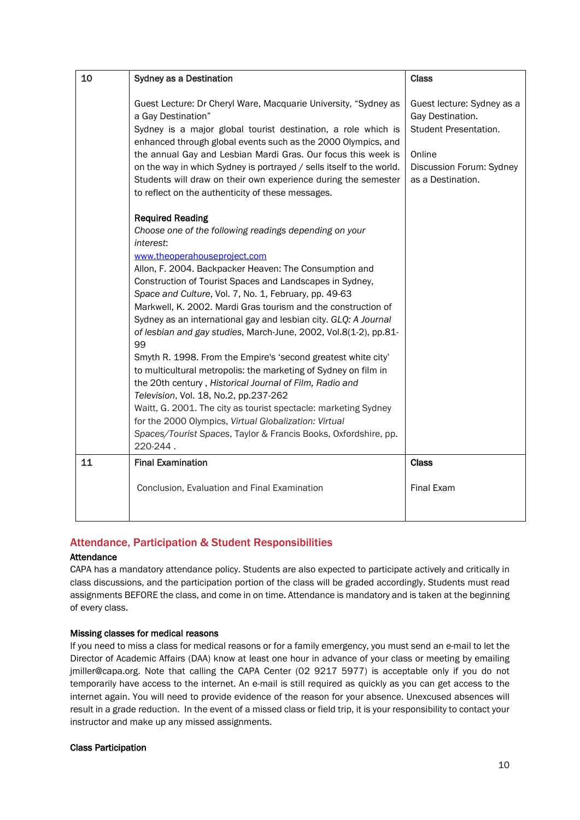| 10 | Sydney as a Destination                                                                                                                                                                                                                                                                                                                                                                                                                                                                                                                                                                                                                                                                                                                                                                                                                                                                                                                                                        | <b>Class</b>                                                                                                                       |
|----|--------------------------------------------------------------------------------------------------------------------------------------------------------------------------------------------------------------------------------------------------------------------------------------------------------------------------------------------------------------------------------------------------------------------------------------------------------------------------------------------------------------------------------------------------------------------------------------------------------------------------------------------------------------------------------------------------------------------------------------------------------------------------------------------------------------------------------------------------------------------------------------------------------------------------------------------------------------------------------|------------------------------------------------------------------------------------------------------------------------------------|
|    | Guest Lecture: Dr Cheryl Ware, Macquarie University, "Sydney as<br>a Gay Destination"<br>Sydney is a major global tourist destination, a role which is<br>enhanced through global events such as the 2000 Olympics, and<br>the annual Gay and Lesbian Mardi Gras. Our focus this week is<br>on the way in which Sydney is portrayed / sells itself to the world.<br>Students will draw on their own experience during the semester<br>to reflect on the authenticity of these messages.                                                                                                                                                                                                                                                                                                                                                                                                                                                                                        | Guest lecture: Sydney as a<br>Gay Destination.<br>Student Presentation.<br>Online<br>Discussion Forum: Sydney<br>as a Destination. |
|    | <b>Required Reading</b><br>Choose one of the following readings depending on your<br>interest:<br>www.theoperahouseproject.com<br>Allon, F. 2004. Backpacker Heaven: The Consumption and<br>Construction of Tourist Spaces and Landscapes in Sydney,<br>Space and Culture, Vol. 7, No. 1, February, pp. 49-63<br>Markwell, K. 2002. Mardi Gras tourism and the construction of<br>Sydney as an international gay and lesbian city. GLQ: A Journal<br>of lesbian and gay studies, March-June, 2002, Vol.8(1-2), pp.81-<br>99<br>Smyth R. 1998. From the Empire's 'second greatest white city'<br>to multicultural metropolis: the marketing of Sydney on film in<br>the 20th century, Historical Journal of Film, Radio and<br>Television, Vol. 18, No.2, pp.237-262<br>Waitt, G. 2001. The city as tourist spectacle: marketing Sydney<br>for the 2000 Olympics, Virtual Globalization: Virtual<br>Spaces/Tourist Spaces, Taylor & Francis Books, Oxfordshire, pp.<br>220-244. |                                                                                                                                    |
| 11 | <b>Final Examination</b>                                                                                                                                                                                                                                                                                                                                                                                                                                                                                                                                                                                                                                                                                                                                                                                                                                                                                                                                                       | <b>Class</b>                                                                                                                       |
|    | Conclusion, Evaluation and Final Examination                                                                                                                                                                                                                                                                                                                                                                                                                                                                                                                                                                                                                                                                                                                                                                                                                                                                                                                                   | <b>Final Exam</b>                                                                                                                  |

# Attendance, Participation & Student Responsibilities

#### Attendance

CAPA has a mandatory attendance policy. Students are also expected to participate actively and critically in class discussions, and the participation portion of the class will be graded accordingly. Students must read assignments BEFORE the class, and come in on time. Attendance is mandatory and is taken at the beginning of every class.

#### Missing classes for medical reasons

If you need to miss a class for medical reasons or for a family emergency, you must send an e-mail to let the Director of Academic Affairs (DAA) know at least one hour in advance of your class or meeting by emailing jmiller@capa.org. Note that calling the CAPA Center (02 9217 5977) is acceptable only if you do not temporarily have access to the internet. An e-mail is still required as quickly as you can get access to the internet again. You will need to provide evidence of the reason for your absence. Unexcused absences will result in a grade reduction. In the event of a missed class or field trip, it is your responsibility to contact your instructor and make up any missed assignments.

#### Class Participation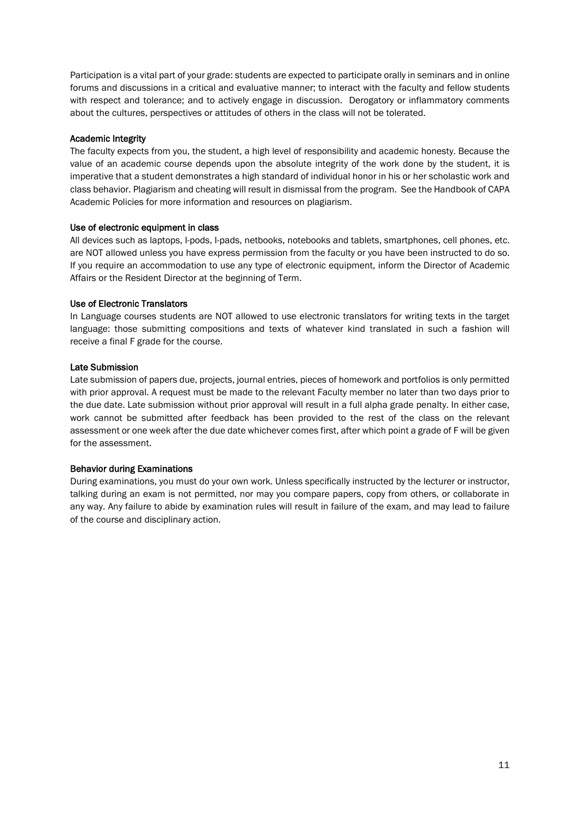Participation is a vital part of your grade: students are expected to participate orally in seminars and in online forums and discussions in a critical and evaluative manner; to interact with the faculty and fellow students with respect and tolerance; and to actively engage in discussion. Derogatory or inflammatory comments about the cultures, perspectives or attitudes of others in the class will not be tolerated.

#### Academic Integrity

The faculty expects from you, the student, a high level of responsibility and academic honesty. Because the value of an academic course depends upon the absolute integrity of the work done by the student, it is imperative that a student demonstrates a high standard of individual honor in his or her scholastic work and class behavior. Plagiarism and cheating will result in dismissal from the program. See the Handbook of CAPA Academic Policies for more information and resources on plagiarism.

#### Use of electronic equipment in class

All devices such as laptops, I-pods, I-pads, netbooks, notebooks and tablets, smartphones, cell phones, etc. are NOT allowed unless you have express permission from the faculty or you have been instructed to do so. If you require an accommodation to use any type of electronic equipment, inform the Director of Academic Affairs or the Resident Director at the beginning of Term.

#### Use of Electronic Translators

In Language courses students are NOT allowed to use electronic translators for writing texts in the target language: those submitting compositions and texts of whatever kind translated in such a fashion will receive a final F grade for the course.

#### Late Submission

Late submission of papers due, projects, journal entries, pieces of homework and portfolios is only permitted with prior approval. A request must be made to the relevant Faculty member no later than two days prior to the due date. Late submission without prior approval will result in a full alpha grade penalty. In either case, work cannot be submitted after feedback has been provided to the rest of the class on the relevant assessment or one week after the due date whichever comes first, after which point a grade of F will be given for the assessment.

#### Behavior during Examinations

During examinations, you must do your own work. Unless specifically instructed by the lecturer or instructor, talking during an exam is not permitted, nor may you compare papers, copy from others, or collaborate in any way. Any failure to abide by examination rules will result in failure of the exam, and may lead to failure of the course and disciplinary action.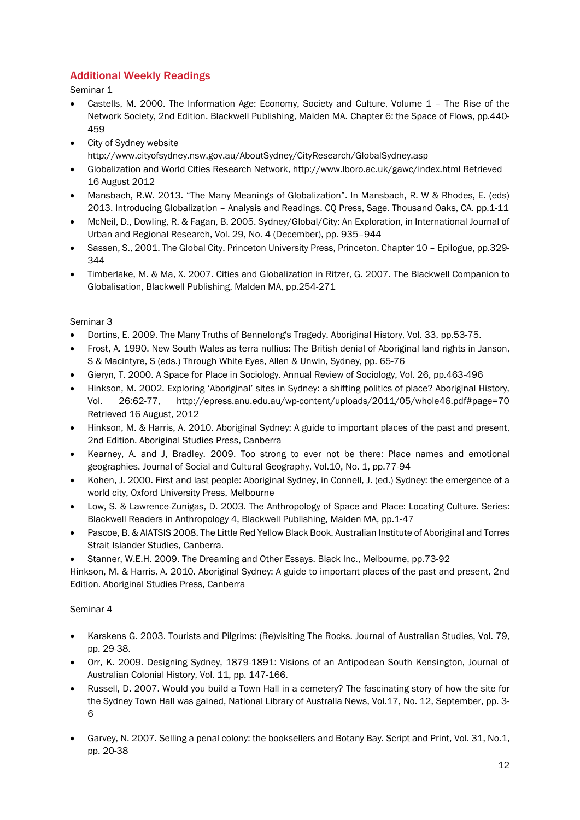# Additional Weekly Readings

Seminar 1

- Castells, M. 2000. The Information Age: Economy, Society and Culture, Volume 1 The Rise of the Network Society, 2nd Edition. Blackwell Publishing, Malden MA. Chapter 6: the Space of Flows, pp.440- 459
- City of Sydney website <http://www.cityofsydney.nsw.gov.au/AboutSydney/CityResearch/GlobalSydney.asp>
- Globalization and World Cities Research Network, http://www.lboro.ac.uk/gawc/index.html Retrieved 16 August 2012
- Mansbach, R.W. 2013. "The Many Meanings of Globalization". In Mansbach, R. W & Rhodes, E. (eds) 2013. Introducing Globalization – Analysis and Readings. CQ Press, Sage. Thousand Oaks, CA. pp.1-11
- McNeil, D., Dowling, R. & Fagan, B. 2005. Sydney/Global/City: An Exploration, in International Journal of Urban and Regional Research, Vol. 29, No. 4 (December), pp. 935–944
- Sassen, S., 2001. The Global City. Princeton University Press, Princeton. Chapter 10 Epilogue, pp.329- 344
- Timberlake, M. & Ma, X. 2007. Cities and Globalization in Ritzer, G. 2007. The Blackwell Companion to Globalisation, Blackwell Publishing, Malden MA, pp.254-271

## Seminar 3

- Dortins, E. 2009. The Many Truths of Bennelong's Tragedy. Aboriginal History, Vol. 33, pp.53-75.
- Frost, A. 1990. New South Wales as terra nullius: The British denial of Aboriginal land rights in Janson, S & Macintyre, S (eds.) Through White Eyes, Allen & Unwin, Sydney, pp. 65-76
- Gieryn, T. 2000. A Space for Place in Sociology. Annual Review of Sociology, Vol. 26, pp.463-496
- Hinkson, M. 2002. Exploring 'Aboriginal' sites in Sydney: a shifting politics of place? Aboriginal History, Vol. 26:62-77, <http://epress.anu.edu.au/wp-content/uploads/2011/05/whole46.pdf#page=70> Retrieved 16 August, 2012
- Hinkson, M. & Harris, A. 2010. Aboriginal Sydney: A guide to important places of the past and present, 2nd Edition. Aboriginal Studies Press, Canberra
- Kearney, A. and J, Bradley. 2009. Too strong to ever not be there: Place names and emotional geographies. Journal of Social and Cultural Geography, Vol.10, No. 1, pp.77-94
- Kohen, J. 2000. First and last people: Aboriginal Sydney, in Connell, J. (ed.) Sydney: the emergence of a world city, Oxford University Press, Melbourne
- Low, S. & Lawrence-Zunigas, D. 2003. The Anthropology of Space and Place: Locating Culture. Series: Blackwell Readers in Anthropology 4, Blackwell Publishing, Malden MA, pp.1-47
- Pascoe, B. & AIATSIS 2008. The Little Red Yellow Black Book. Australian Institute of Aboriginal and Torres Strait Islander Studies, Canberra.
- Stanner, W.E.H. 2009. The Dreaming and Other Essays. Black Inc., Melbourne, pp.73-92

Hinkson, M. & Harris, A. 2010. Aboriginal Sydney: A guide to important places of the past and present, 2nd Edition. Aboriginal Studies Press, Canberra

#### Seminar 4

- Karskens G. 2003. Tourists and Pilgrims: (Re)visiting The Rocks. Journal of Australian Studies, Vol. 79, pp. 29-38.
- Orr, K. 2009. Designing Sydney, 1879-1891: Visions of an Antipodean South Kensington, Journal of Australian Colonial History, Vol. 11, pp. 147-166.
- Russell, D. 2007. Would you build a Town Hall in a cemetery? The fascinating story of how the site for the Sydney Town Hall was gained, National Library of Australia News, Vol.17, No. 12, September, pp. 3- 6
- Garvey, N. 2007. Selling a penal colony: the booksellers and Botany Bay. Script and Print, Vol. 31, No.1, pp. 20-38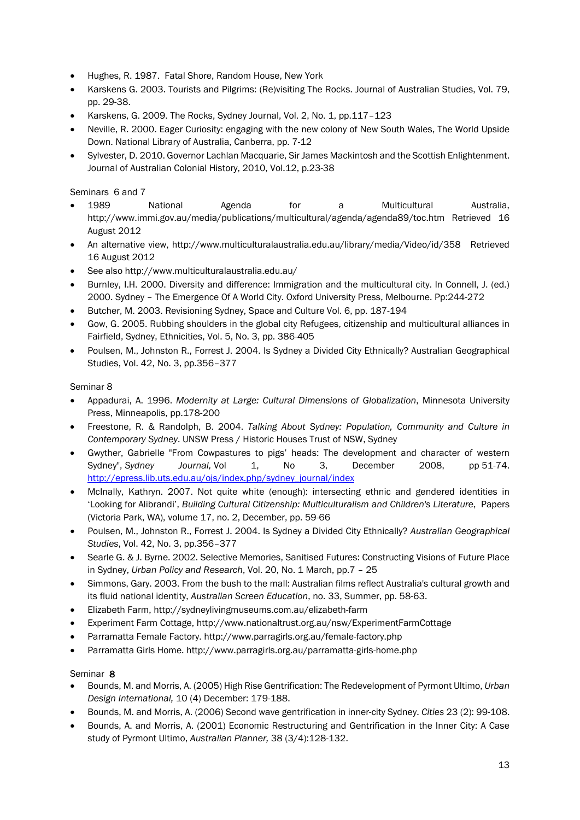- Hughes, R. 1987. Fatal Shore, Random House, New York
- Karskens G. 2003. Tourists and Pilgrims: (Re)visiting The Rocks. Journal of Australian Studies, Vol. 79, pp. 29-38.
- Karskens, G. 2009. The Rocks, Sydney Journal, Vol. 2, No. 1, pp.117–123
- Neville, R. 2000. Eager Curiosity: engaging with the new colony of New South Wales, The World Upside Down. National Library of Australia, Canberra, pp. 7-12
- Sylvester, D. 2010. Governor Lachlan Macquarie, Sir James Mackintosh and the Scottish Enlightenment. Journal of Australian Colonial History, 2010, Vol.12, p.23-38

Seminars 6 and 7

- 1989 National Agenda for a Multicultural Australia, <http://www.immi.gov.au/media/publications/multicultural/agenda/agenda89/toc.htm> Retrieved 16 August 2012
- An alternative view,<http://www.multiculturalaustralia.edu.au/library/media/Video/id/358>Retrieved 16 August 2012
- See also<http://www.multiculturalaustralia.edu.au/>
- Burnley, I.H. 2000. Diversity and difference: Immigration and the multicultural city. In Connell, J. (ed.) 2000. Sydney – The Emergence Of A World City. Oxford University Press, Melbourne. Pp:244-272
- Butcher, M. 2003. Revisioning Sydney, Space and Culture Vol. 6, pp. 187-194
- Gow, G. 2005. Rubbing shoulders in the global city Refugees, citizenship and multicultural alliances in Fairfield, Sydney, Ethnicities, Vol. 5, No. 3, pp. 386-405
- Poulsen, M., Johnston R., Forrest J. 2004. Is Sydney a Divided City Ethnically? Australian Geographical Studies, Vol. 42, No. 3, pp.356–377

#### Seminar 8

- Appadurai, A. 1996. *Modernity at Large: Cultural Dimensions of Globalization*, Minnesota University Press, Minneapolis, pp.178-200
- Freestone, R. & Randolph, B. 2004. *Talking About Sydney: Population, Community and Culture in Contemporary Sydney*. UNSW Press / Historic Houses Trust of NSW, Sydney
- Gwyther, Gabrielle "From Cowpastures to pigs' heads: The development and character of western Sydney", *Sydney Journal,* Vol 1, No 3, December 2008, pp 51-74. http://epress.lib.uts.edu.au/ois/index.php/sydney\_journal/index
- McInally, Kathryn. 2007. Not quite white (enough): intersecting ethnic and gendered identities in 'Looking for Alibrandi', *Building Cultural Citizenship: Multiculturalism and Children's Literature*, Papers (Victoria Park, WA), volume 17, no. 2, December, pp. 59-66
- Poulsen, M., Johnston R., Forrest J. 2004. Is Sydney a Divided City Ethnically? *Australian Geographical Studies*, Vol. 42, No. 3, pp.356–377
- Searle G. & J. Byrne. 2002. Selective Memories, Sanitised Futures: Constructing Visions of Future Place in Sydney, *Urban Policy and Research*, Vol. 20, No. 1 March, pp.7 – 25
- Simmons, Gary. 2003. From the bush to the mall: Australian films reflect Australia's cultural growth and its fluid national identity, *Australian Screen Education*, no. 33, Summer, pp. 58-63.
- Elizabeth Farm, http://sydneylivingmuseums.com.au/elizabeth-farm
- Experiment Farm Cottage, http://www.nationaltrust.org.au/nsw/ExperimentFarmCottage
- Parramatta Female Factory. http://www.parragirls.org.au/female-factory.php
- Parramatta Girls Home. http://www.parragirls.org.au/parramatta-girls-home.php

#### Seminar 8

- Bounds, M. and Morris, A. (2005) High Rise Gentrification: The Redevelopment of Pyrmont Ultimo, *Urban Design International,* 10 (4) December: 179-188.
- Bounds, M. and Morris, A. (2006) Second wave gentrification in inner-city Sydney. *Cities* 23 (2): 99-108.
- Bounds, A. and Morris, A. (2001) Economic Restructuring and Gentrification in the Inner City: A Case study of Pyrmont Ultimo, *Australian Planner,* 38 (3/4):128-132.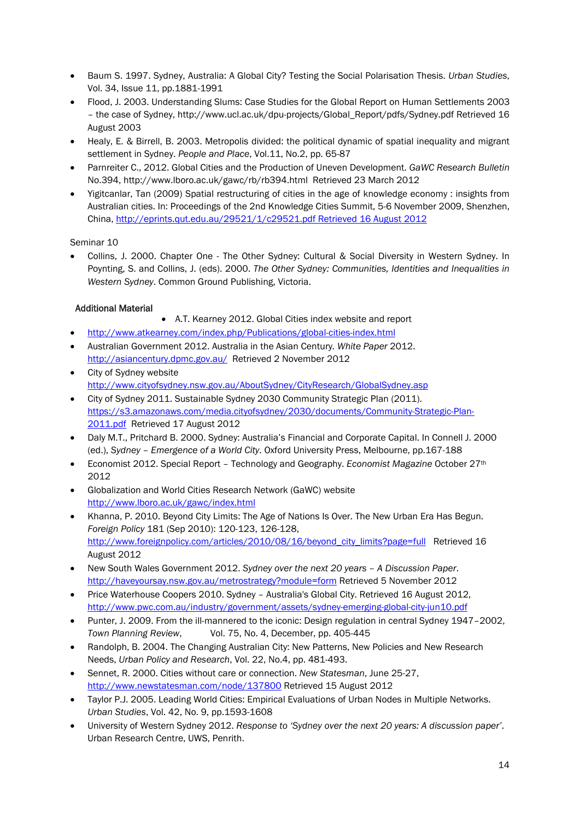- Baum S. 1997. Sydney, Australia: A Global City? Testing the Social Polarisation Thesis. *Urban Studies*, Vol. 34, Issue 11, pp.1881-1991
- Flood, J. 2003. Understanding Slums: Case Studies for the Global Report on Human Settlements 2003 – the case of Sydney, http://www.ucl.ac.uk/dpu-projects/Global\_Report/pdfs/Sydney.pdf Retrieved 16 August 2003
- Healy, E. & Birrell, B. 2003. Metropolis divided: the political dynamic of spatial inequality and migrant settlement in Sydney. *People and Place*, Vol.11, No.2, pp. 65-87
- Parnreiter C., 2012. Global Cities and the Production of Uneven Development. *GaWC Research Bulletin* No.394, http://www.lboro.ac.uk/gawc/rb/rb394.html Retrieved 23 March 2012
- Yigitcanlar, Tan (2009) Spatial restructuring of cities in the age of knowledge economy : insights from Australian cities. In: Proceedings of the 2nd Knowledge Cities Summit, 5-6 November 2009, Shenzhen, China, [http://eprints.qut.edu.au/29521/1/c29521.pdf Retrieved 16 August 2012](http://eprints.qut.edu.au/29521/1/c29521.pdf%20Retrieved%2016%20August%202012)

Seminar 10

• Collins, J. 2000. Chapter One - The Other Sydney: Cultural & Social Diversity in Western Sydney. In Poynting, S. and Collins, J. (eds). 2000. *The Other Sydney: Communities, Identities and Inequalities in Western Sydney*. Common Ground Publishing, Victoria.

## Additional Material

- A.T. Kearney 2012. Global Cities index website and report
- <http://www.atkearney.com/index.php/Publications/global-cities-index.html>
- Australian Government 2012. Australia in the Asian Century*. White Paper* 2012. <http://asiancentury.dpmc.gov.au/>Retrieved 2 November 2012
- City of Sydney website <http://www.cityofsydney.nsw.gov.au/AboutSydney/CityResearch/GlobalSydney.asp>
- City of Sydney 2011. Sustainable Sydney 2030 Community Strategic Plan (2011). [https://s3.amazonaws.com/media.cityofsydney/2030/documents/Community-Strategic-Plan-](https://s3.amazonaws.com/media.cityofsydney/2030/documents/Community-Strategic-Plan-2011.pdf)[2011.pdf](https://s3.amazonaws.com/media.cityofsydney/2030/documents/Community-Strategic-Plan-2011.pdf) Retrieved 17 August 2012
- Daly M.T., Pritchard B. 2000. Sydney: Australia's Financial and Corporate Capital. In Connell J. 2000 (ed.), *Sydney – Emergence of a World City*. Oxford University Press, Melbourne, pp.167-188
- Economist 2012. Special Report Technology and Geography. *Economist Magazine* October 27th 2012
- Globalization and World Cities Research Network (GaWC) website <http://www.lboro.ac.uk/gawc/index.html>
- Khanna, P. 2010. Beyond City Limits: The Age of Nations Is Over. The New Urban Era Has Begun. *Foreign Policy* 181 (Sep 2010): 120-123, 126-128, [http://www.foreignpolicy.com/articles/2010/08/16/beyond\\_city\\_limits?page=full](http://www.foreignpolicy.com/articles/2010/08/16/beyond_city_limits?page=full) Retrieved 16 August 2012
- New South Wales Government 2012. *Sydney over the next 20 years – A Discussion Paper*. <http://haveyoursay.nsw.gov.au/metrostrategy?module=form> Retrieved 5 November 2012
- Price Waterhouse Coopers 2010. Sydney Australia's Global City. Retrieved 16 August 2012, <http://www.pwc.com.au/industry/government/assets/sydney-emerging-global-city-jun10.pdf>
- Punter, J. 2009. From the ill-mannered to the iconic: Design regulation in central Sydney 1947–2002, *Town Planning Review*, Vol. 75, No. 4, December, pp. 405-445
- Randolph, B. 2004. The Changing Australian City: New Patterns, New Policies and New Research Needs, *Urban Policy and Research*, Vol. 22, No.4, pp. 481-493.
- Sennet, R. 2000. Cities without care or connection. *New Statesman*, June 25-27, <http://www.newstatesman.com/node/137800> Retrieved 15 August 2012
- Taylor P.J. 2005. Leading World Cities: Empirical Evaluations of Urban Nodes in Multiple Networks. *Urban Studies*, Vol. 42, No. 9, pp.1593-1608
- University of Western Sydney 2012. *Response to 'Sydney over the next 20 years: A discussion paper'*. Urban Research Centre, UWS, Penrith.